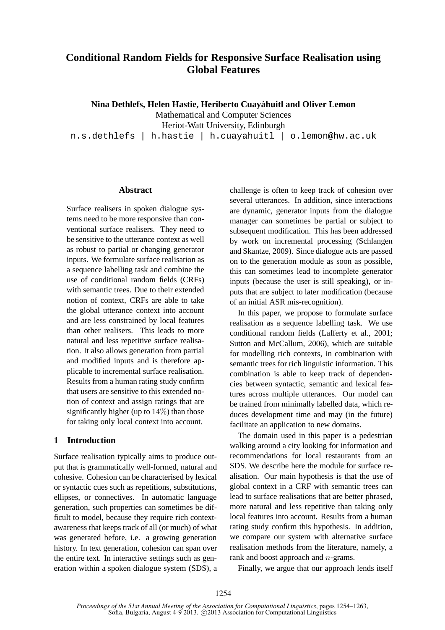# **Conditional Random Fields for Responsive Surface Realisation using Global Features**

**Nina Dethlefs, Helen Hastie, Heriberto Cuayahuitl and Oliver Lemon ´**

Mathematical and Computer Sciences Heriot-Watt University, Edinburgh

n.s.dethlefs | h.hastie | h.cuayahuitl | o.lemon@hw.ac.uk

#### **Abstract**

Surface realisers in spoken dialogue systems need to be more responsive than conventional surface realisers. They need to be sensitive to the utterance context as well as robust to partial or changing generator inputs. We formulate surface realisation as a sequence labelling task and combine the use of conditional random fields (CRFs) with semantic trees. Due to their extended notion of context, CRFs are able to take the global utterance context into account and are less constrained by local features than other realisers. This leads to more natural and less repetitive surface realisation. It also allows generation from partial and modified inputs and is therefore applicable to incremental surface realisation. Results from a human rating study confirm that users are sensitive to this extended notion of context and assign ratings that are significantly higher (up to  $14\%$ ) than those for taking only local context into account.

## **1 Introduction**

Surface realisation typically aims to produce output that is grammatically well-formed, natural and cohesive. Cohesion can be characterised by lexical or syntactic cues such as repetitions, substitutions, ellipses, or connectives. In automatic language generation, such properties can sometimes be difficult to model, because they require rich contextawareness that keeps track of all (or much) of what was generated before, i.e. a growing generation history. In text generation, cohesion can span over the entire text. In interactive settings such as generation within a spoken dialogue system (SDS), a

challenge is often to keep track of cohesion over several utterances. In addition, since interactions are dynamic, generator inputs from the dialogue manager can sometimes be partial or subject to subsequent modification. This has been addressed by work on incremental processing (Schlangen and Skantze, 2009). Since dialogue acts are passed on to the generation module as soon as possible, this can sometimes lead to incomplete generator inputs (because the user is still speaking), or inputs that are subject to later modification (because of an initial ASR mis-recognition).

In this paper, we propose to formulate surface realisation as a sequence labelling task. We use conditional random fields (Lafferty et al., 2001; Sutton and McCallum, 2006), which are suitable for modelling rich contexts, in combination with semantic trees for rich linguistic information. This combination is able to keep track of dependencies between syntactic, semantic and lexical features across multiple utterances. Our model can be trained from minimally labelled data, which reduces development time and may (in the future) facilitate an application to new domains.

The domain used in this paper is a pedestrian walking around a city looking for information and recommendations for local restaurants from an SDS. We describe here the module for surface realisation. Our main hypothesis is that the use of global context in a CRF with semantic trees can lead to surface realisations that are better phrased, more natural and less repetitive than taking only local features into account. Results from a human rating study confirm this hypothesis. In addition, we compare our system with alternative surface realisation methods from the literature, namely, a rank and boost approach and  $n$ -grams.

Finally, we argue that our approach lends itself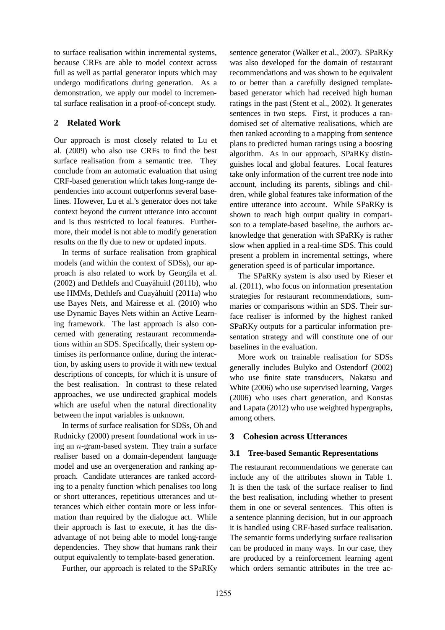to surface realisation within incremental systems, because CRFs are able to model context across full as well as partial generator inputs which may undergo modifications during generation. As a demonstration, we apply our model to incremental surface realisation in a proof-of-concept study.

### **2 Related Work**

Our approach is most closely related to Lu et al. (2009) who also use CRFs to find the best surface realisation from a semantic tree. They conclude from an automatic evaluation that using CRF-based generation which takes long-range dependencies into account outperforms several baselines. However, Lu et al.'s generator does not take context beyond the current utterance into account and is thus restricted to local features. Furthermore, their model is not able to modify generation results on the fly due to new or updated inputs.

In terms of surface realisation from graphical models (and within the context of SDSs), our approach is also related to work by Georgila et al.  $(2002)$  and Dethlefs and Cuaváhuitl  $(2011b)$ , who use HMMs, Dethlefs and Cuayáhuitl (2011a) who use Bayes Nets, and Mairesse et al. (2010) who use Dynamic Bayes Nets within an Active Learning framework. The last approach is also concerned with generating restaurant recommendations within an SDS. Specifically, their system optimises its performance online, during the interaction, by asking users to provide it with new textual descriptions of concepts, for which it is unsure of the best realisation. In contrast to these related approaches, we use undirected graphical models which are useful when the natural directionality between the input variables is unknown.

In terms of surface realisation for SDSs, Oh and Rudnicky (2000) present foundational work in using an n-gram-based system. They train a surface realiser based on a domain-dependent language model and use an overgeneration and ranking approach. Candidate utterances are ranked according to a penalty function which penalises too long or short utterances, repetitious utterances and utterances which either contain more or less information than required by the dialogue act. While their approach is fast to execute, it has the disadvantage of not being able to model long-range dependencies. They show that humans rank their output equivalently to template-based generation.

Further, our approach is related to the SPaRKy

sentence generator (Walker et al., 2007). SPaRKy was also developed for the domain of restaurant recommendations and was shown to be equivalent to or better than a carefully designed templatebased generator which had received high human ratings in the past (Stent et al., 2002). It generates sentences in two steps. First, it produces a randomised set of alternative realisations, which are then ranked according to a mapping from sentence plans to predicted human ratings using a boosting algorithm. As in our approach, SPaRKy distinguishes local and global features. Local features take only information of the current tree node into account, including its parents, siblings and children, while global features take information of the entire utterance into account. While SPaRKy is shown to reach high output quality in comparison to a template-based baseline, the authors acknowledge that generation with SPaRKy is rather slow when applied in a real-time SDS. This could present a problem in incremental settings, where generation speed is of particular importance.

The SPaRKy system is also used by Rieser et al. (2011), who focus on information presentation strategies for restaurant recommendations, summaries or comparisons within an SDS. Their surface realiser is informed by the highest ranked SPaRKy outputs for a particular information presentation strategy and will constitute one of our baselines in the evaluation.

More work on trainable realisation for SDSs generally includes Bulyko and Ostendorf (2002) who use finite state transducers, Nakatsu and White (2006) who use supervised learning, Varges (2006) who uses chart generation, and Konstas and Lapata (2012) who use weighted hypergraphs, among others.

#### **3 Cohesion across Utterances**

#### **3.1 Tree-based Semantic Representations**

The restaurant recommendations we generate can include any of the attributes shown in Table 1. It is then the task of the surface realiser to find the best realisation, including whether to present them in one or several sentences. This often is a sentence planning decision, but in our approach it is handled using CRF-based surface realisation. The semantic forms underlying surface realisation can be produced in many ways. In our case, they are produced by a reinforcement learning agent which orders semantic attributes in the tree ac-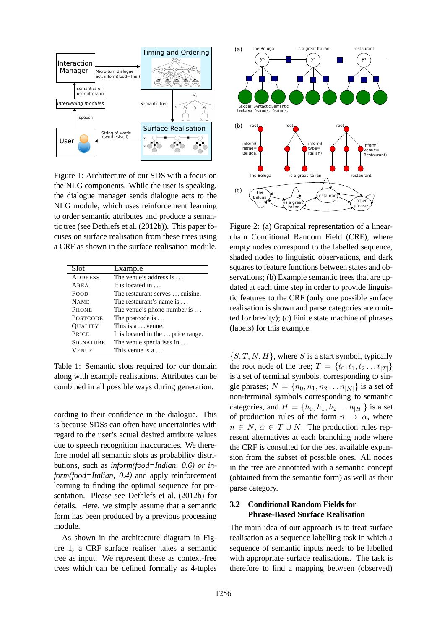

Figure 1: Architecture of our SDS with a focus on the NLG components. While the user is speaking, the dialogue manager sends dialogue acts to the NLG module, which uses reinforcement learning to order semantic attributes and produce a semantic tree (see Dethlefs et al. (2012b)). This paper focuses on surface realisation from these trees using a CRF as shown in the surface realisation module.

| Slot             | Example                             |
|------------------|-------------------------------------|
| <b>ADDRESS</b>   | The venue's address is              |
| AREA             | It is located in $\dots$            |
| <b>FOOD</b>      | The restaurant serves  cuisine.     |
| <b>NAME</b>      | The restaurant's name is $\dots$    |
| <b>PHONE</b>     | The venue's phone number is $\dots$ |
| <b>POSTCODE</b>  | The postcode is                     |
| <b>OUALITY</b>   | This is a  venue.                   |
| PRICE            | It is located in the  price range.  |
| <b>SIGNATURE</b> | The venue specialises in            |
| <b>VENUE</b>     | This venue is $a \dots$             |

Table 1: Semantic slots required for our domain along with example realisations. Attributes can be combined in all possible ways during generation.

cording to their confidence in the dialogue. This is because SDSs can often have uncertainties with regard to the user's actual desired attribute values due to speech recognition inaccuracies. We therefore model all semantic slots as probability distributions, such as *inform(food=Indian, 0.6) or inform(food=Italian, 0.4)* and apply reinforcement learning to finding the optimal sequence for presentation. Please see Dethlefs et al. (2012b) for details. Here, we simply assume that a semantic form has been produced by a previous processing module.

As shown in the architecture diagram in Figure 1, a CRF surface realiser takes a semantic tree as input. We represent these as context-free trees which can be defined formally as 4-tuples



Figure 2: (a) Graphical representation of a linearchain Conditional Random Field (CRF), where empty nodes correspond to the labelled sequence, shaded nodes to linguistic observations, and dark squares to feature functions between states and observations; (b) Example semantic trees that are updated at each time step in order to provide linguistic features to the CRF (only one possible surface realisation is shown and parse categories are omitted for brevity); (c) Finite state machine of phrases (labels) for this example.

 $\{S, T, N, H\}$ , where S is a start symbol, typically the root node of the tree;  $T = \{t_0, t_1, t_2, \ldots t_{|T|}\}\$ is a set of terminal symbols, corresponding to single phrases;  $N = \{n_0, n_1, n_2 \dots n_{|N|}\}\$ is a set of non-terminal symbols corresponding to semantic categories, and  $H = \{h_0, h_1, h_2 \dots h_{|H|}\}\$ is a set of production rules of the form  $n \to \alpha$ , where  $n \in N$ ,  $\alpha \in T \cup N$ . The production rules represent alternatives at each branching node where the CRF is consulted for the best available expansion from the subset of possible ones. All nodes in the tree are annotated with a semantic concept (obtained from the semantic form) as well as their parse category.

## **3.2 Conditional Random Fields for Phrase-Based Surface Realisation**

The main idea of our approach is to treat surface realisation as a sequence labelling task in which a sequence of semantic inputs needs to be labelled with appropriate surface realisations. The task is therefore to find a mapping between (observed)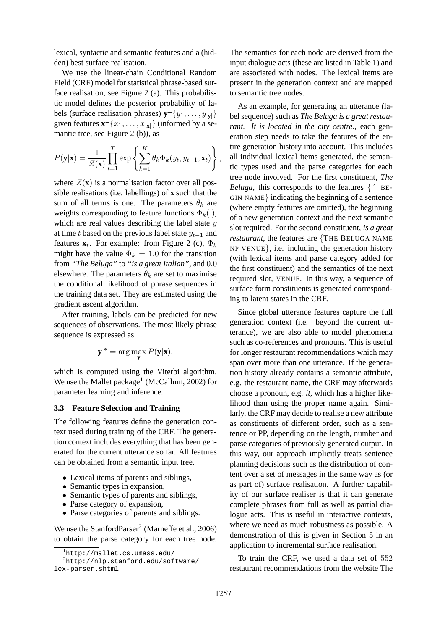lexical, syntactic and semantic features and a (hidden) best surface realisation.

We use the linear-chain Conditional Random Field (CRF) model for statistical phrase-based surface realisation, see Figure 2 (a). This probabilistic model defines the posterior probability of labels (surface realisation phrases)  $\mathbf{y} = \{y_1, \dots, y_{|\mathbf{v}|}\}\$ given features  $\mathbf{x} = \{x_1, \dots, x_{|\mathbf{x}|}\}\$  (informed by a semantic tree, see Figure 2 (b)), as

$$
P(\mathbf{y}|\mathbf{x}) = \frac{1}{Z(\mathbf{x})} \prod_{t=1}^{T} \exp \left\{ \sum_{k=1}^{K} \theta_k \Phi_k(y_t, y_{t-1}, \mathbf{x}_t) \right\},
$$

where  $Z(\mathbf{x})$  is a normalisation factor over all possible realisations (i.e. labellings) of **x** such that the sum of all terms is one. The parameters  $\theta_k$  are weights corresponding to feature functions  $\Phi_k(.)$ , which are real values describing the label state  $y$ at time t based on the previous label state  $y_{t-1}$  and features  $\mathbf{x}_t$ . For example: from Figure 2 (c),  $\Phi_k$ might have the value  $\Phi_k = 1.0$  for the transition from *"The Beluga"* to *"is a great Italian"*, and 0.0 elsewhere. The parameters  $\theta_k$  are set to maximise the conditional likelihood of phrase sequences in the training data set. They are estimated using the gradient ascent algorithm.

After training, labels can be predicted for new sequences of observations. The most likely phrase sequence is expressed as

$$
\mathbf{y}^* = \arg\max_{\mathbf{y}} P(\mathbf{y}|\mathbf{x}),
$$

which is computed using the Viterbi algorithm. We use the Mallet package $^1$  (McCallum, 2002) for parameter learning and inference.

#### **3.3 Feature Selection and Training**

The following features define the generation context used during training of the CRF. The generation context includes everything that has been generated for the current utterance so far. All features can be obtained from a semantic input tree.

- Lexical items of parents and siblings,
- Semantic types in expansion,
- Semantic types of parents and siblings,
- Parse category of expansion,
- Parse categories of parents and siblings.

We use the StanfordParser<sup>2</sup> (Marneffe et al., 2006) to obtain the parse category for each tree node. The semantics for each node are derived from the input dialogue acts (these are listed in Table 1) and are associated with nodes. The lexical items are present in the generation context and are mapped to semantic tree nodes.

As an example, for generating an utterance (label sequence) such as *The Beluga is a great restaurant. It is located in the city centre.*, each generation step needs to take the features of the entire generation history into account. This includes all individual lexical items generated, the semantic types used and the parse categories for each tree node involved. For the first constituent, *The Beluga*, this corresponds to the features  $\{\hat{\ }$  BE-GIN NAME} indicating the beginning of a sentence (where empty features are omitted), the beginning of a new generation context and the next semantic slot required. For the second constituent, *is a great restaurant*, the features are {THE BELUGA NAME NP VENUE}, i.e. including the generation history (with lexical items and parse category added for the first constituent) and the semantics of the next required slot, VENUE. In this way, a sequence of surface form constituents is generated corresponding to latent states in the CRF.

Since global utterance features capture the full generation context (i.e. beyond the current utterance), we are also able to model phenomena such as co-references and pronouns. This is useful for longer restaurant recommendations which may span over more than one utterance. If the generation history already contains a semantic attribute, e.g. the restaurant name, the CRF may afterwards choose a pronoun, e.g. *it*, which has a higher likelihood than using the proper name again. Similarly, the CRF may decide to realise a new attribute as constituents of different order, such as a sentence or PP, depending on the length, number and parse categories of previously generated output. In this way, our approach implicitly treats sentence planning decisions such as the distribution of content over a set of messages in the same way as (or as part of) surface realisation. A further capability of our surface realiser is that it can generate complete phrases from full as well as partial dialogue acts. This is useful in interactive contexts, where we need as much robustness as possible. A demonstration of this is given in Section 5 in an application to incremental surface realisation.

To train the CRF, we used a data set of 552 restaurant recommendations from the website The

<sup>1</sup>http://mallet.cs.umass.edu/

<sup>2</sup>http://nlp.stanford.edu/software/ lex-parser.shtml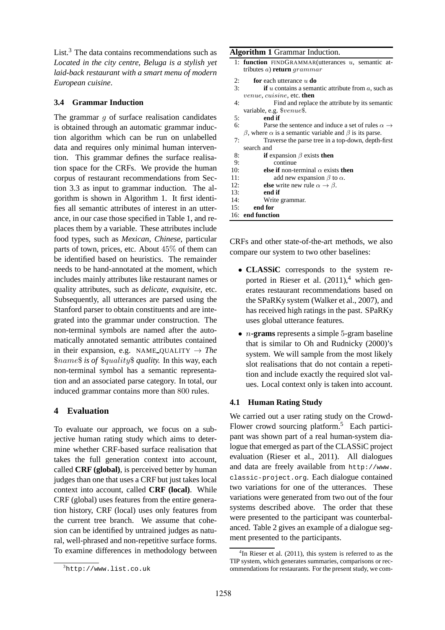List. $3$  The data contains recommendations such as *Located in the city centre, Beluga is a stylish yet laid-back restaurant with a smart menu of modern European cuisine*.

## **3.4 Grammar Induction**

The grammar  $g$  of surface realisation candidates is obtained through an automatic grammar induction algorithm which can be run on unlabelled data and requires only minimal human intervention. This grammar defines the surface realisation space for the CRFs. We provide the human corpus of restaurant recommendations from Section 3.3 as input to grammar induction. The algorithm is shown in Algorithm 1. It first identifies all semantic attributes of interest in an utterance, in our case those specified in Table 1, and replaces them by a variable. These attributes include food types, such as *Mexican, Chinese*, particular parts of town, prices, etc. About 45% of them can be identified based on heuristics. The remainder needs to be hand-annotated at the moment, which includes mainly attributes like restaurant names or quality attributes, such as *delicate, exquisite*, etc. Subsequently, all utterances are parsed using the Stanford parser to obtain constituents and are integrated into the grammar under construction. The non-terminal symbols are named after the automatically annotated semantic attributes contained in their expansion, e.g. NAME\_QUALITY  $\rightarrow$  *The* \$name\$ *is of* \$quality\$ *quality.* In this way, each non-terminal symbol has a semantic representation and an associated parse category. In total, our induced grammar contains more than 800 rules.

## **4 Evaluation**

To evaluate our approach, we focus on a subjective human rating study which aims to determine whether CRF-based surface realisation that takes the full generation context into account, called **CRF (global)**, is perceived better by human judges than one that uses a CRF but just takes local context into account, called **CRF (local)**. While CRF (global) uses features from the entire generation history, CRF (local) uses only features from the current tree branch. We assume that cohesion can be identified by untrained judges as natural, well-phrased and non-repetitive surface forms. To examine differences in methodology between

#### **Algorithm 1** Grammar Induction.

- 1: **function** FINDGRAMMAR(utterances u, semantic attributes a) **return** grammar
- 2: **for** each utterance  $u$  **do**<br>3: **if**  $u$  contains a sema
- if  $u$  contains a semantic attribute from  $a$ , such as venue, cuisine, etc. **then**
- 4: Find and replace the attribute by its semantic variable, e.g. \$venue\$. 5: **end if** 6: Parse the sentence and induce a set of rules  $\alpha \rightarrow$ β, where  $\alpha$  is a semantic variable and β is its parse. 7: Traverse the parse tree in a top-down, depth-first
- search and
- 8: **if** expansion  $\beta$  exists **then**<br>9. continue
- 10: **else if** non-terminal  $\alpha$  exists **then**
- 11: add new expansion  $\beta$  to  $\alpha$ .<br>12: **else** write new rule  $\alpha \rightarrow \beta$ .
- 12: **else** write new rule  $\alpha \rightarrow \beta$ .<br>13: **end if**
- end if
- 14: Write grammar.
- 15: **end for**

16: **end function**

CRFs and other state-of-the-art methods, we also compare our system to two other baselines:

- **CLASSiC** corresponds to the system reported in Rieser et al.  $(2011)^4$ , which generates restaurant recommendations based on the SPaRKy system (Walker et al., 2007), and has received high ratings in the past. SPaRKy uses global utterance features.
- n**-grams** represents a simple 5-gram baseline that is similar to Oh and Rudnicky (2000)'s system. We will sample from the most likely slot realisations that do not contain a repetition and include exactly the required slot values. Local context only is taken into account.

## **4.1 Human Rating Study**

We carried out a user rating study on the Crowd-Flower crowd sourcing platform.<sup>5</sup> Each participant was shown part of a real human-system dialogue that emerged as part of the CLASSiC project evaluation (Rieser et al., 2011). All dialogues and data are freely available from http://www. classic-project.org. Each dialogue contained two variations for one of the utterances. These variations were generated from two out of the four systems described above. The order that these were presented to the participant was counterbalanced. Table 2 gives an example of a dialogue segment presented to the participants.

 $3$ http://www.list.co.uk

<sup>&</sup>lt;sup>4</sup>In Rieser et al. (2011), this system is referred to as the TIP system, which generates summaries, comparisons or recommendations for restaurants. For the present study, we com-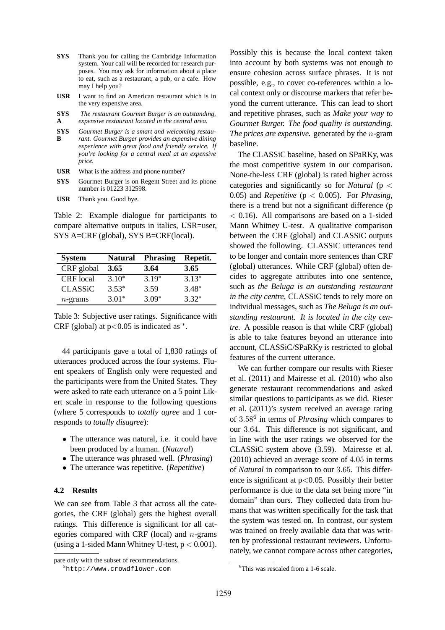- **SYS** Thank you for calling the Cambridge Information system. Your call will be recorded for research purposes. You may ask for information about a place to eat, such as a restaurant, a pub, or a cafe. How may I help you?
- **USR** I want to find an American restaurant which is in the very expensive area.
- **SYS A** *The restaurant Gourmet Burger is an outstanding, expensive restaurant located in the central area.*
- **SYS B** *Gourmet Burger is a smart and welcoming restaurant. Gourmet Burger provides an expensive dining experience with great food and friendly service. If you're looking for a central meal at an expensive price.*
- **USR** What is the address and phone number?
- **SYS** Gourmet Burger is on Regent Street and its phone number is 01223 312598.
- **USR** Thank you. Good bye.

Table 2: Example dialogue for participants to compare alternative outputs in italics, USR=user, SYS A=CRF (global), SYS B=CRF(local).

| <b>System</b>    | <b>Natural</b> | <b>Phrasing</b> | Repetit. |
|------------------|----------------|-----------------|----------|
| CRF global       | 3.65           | 3.64            | 3.65     |
| <b>CRF</b> local | $3.10*$        | $3.19*$         | $3.13*$  |
| <b>CLASSiC</b>   | $3.53*$        | 3.59            | $3.48*$  |
| $n$ -grams       | $3.01*$        | $3.09*$         | $3.32*$  |

Table 3: Subjective user ratings. Significance with CRF (global) at  $p<0.05$  is indicated as  $*$ .

44 participants gave a total of 1,830 ratings of utterances produced across the four systems. Fluent speakers of English only were requested and the participants were from the United States. They were asked to rate each utterance on a 5 point Likert scale in response to the following questions (where 5 corresponds to *totally agree* and 1 corresponds to *totally disagree*):

- The utterance was natural, i.e. it could have been produced by a human. (*Natural*)
- The utterance was phrased well. (*Phrasing*)
- The utterance was repetitive. (*Repetitive*)

#### **4.2 Results**

We can see from Table 3 that across all the categories, the CRF (global) gets the highest overall ratings. This difference is significant for all categories compared with CRF (local) and  $n$ -grams (using a 1-sided Mann Whitney U-test,  $p < 0.001$ ). Possibly this is because the local context taken into account by both systems was not enough to ensure cohesion across surface phrases. It is not possible, e.g., to cover co-references within a local context only or discourse markers that refer beyond the current utterance. This can lead to short and repetitive phrases, such as *Make your way to Gourmet Burger. The food quality is outstanding. The prices are expensive.* generated by the n-gram baseline.

The CLASSiC baseline, based on SPaRKy, was the most competitive system in our comparison. None-the-less CRF (global) is rated higher across categories and significantly so for *Natural* (p < 0.05) and *Repetitive* ( $p < 0.005$ ). For *Phrasing*, there is a trend but not a significant difference (p  $<$  0.16). All comparisons are based on a 1-sided Mann Whitney U-test. A qualitative comparison between the CRF (global) and CLASSiC outputs showed the following. CLASSiC utterances tend to be longer and contain more sentences than CRF (global) utterances. While CRF (global) often decides to aggregate attributes into one sentence, such as *the Beluga is an outstanding restaurant in the city centre*, CLASSiC tends to rely more on individual messages, such as *The Beluga is an outstanding restaurant. It is located in the city centre.* A possible reason is that while CRF (global) is able to take features beyond an utterance into account, CLASSiC/SPaRKy is restricted to global features of the current utterance.

We can further compare our results with Rieser et al. (2011) and Mairesse et al. (2010) who also generate restaurant recommendations and asked similar questions to participants as we did. Rieser et al. (2011)'s system received an average rating of 3.58<sup>6</sup> in terms of *Phrasing* which compares to our 3.64. This difference is not significant, and in line with the user ratings we observed for the CLASSiC system above (3.59). Mairesse et al. (2010) achieved an average score of 4.05 in terms of *Natural* in comparison to our 3.65. This difference is significant at  $p < 0.05$ . Possibly their better performance is due to the data set being more "in domain" than ours. They collected data from humans that was written specifically for the task that the system was tested on. In contrast, our system was trained on freely available data that was written by professional restaurant reviewers. Unfortunately, we cannot compare across other categories,

pare only with the subset of recommendations.

<sup>5</sup>http://www.crowdflower.com

<sup>&</sup>lt;sup>6</sup>This was rescaled from a 1-6 scale.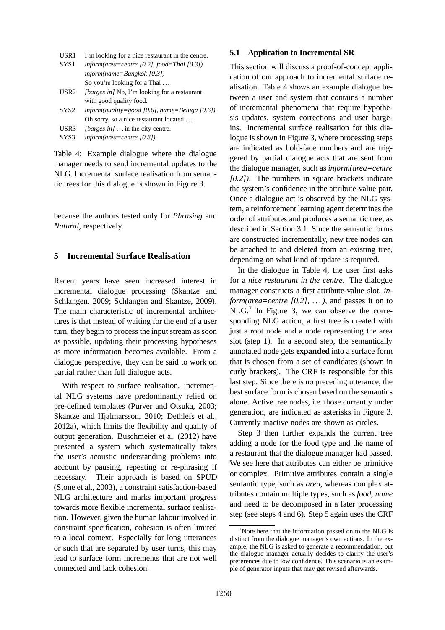|  |  |  |  | USR1 I'm looking for a nice restaurant in the centre. |
|--|--|--|--|-------------------------------------------------------|
|--|--|--|--|-------------------------------------------------------|

| SYS1 | inform(area=centre [0.2], food=Thai [0.3]) |
|------|--------------------------------------------|
|      | $information = Bangkok$ [0.31]             |
|      | So you're looking for a Thai $\dots$       |

- USR2 *[barges in]* No, I'm looking for a restaurant with good quality food.
- SYS2 *inform(quality=good [0.6], name=Beluga [0.6])* Oh sorry, so a nice restaurant located . . .
- USR3 *[barges in]* . . . in the city centre.
- SYS3 *inform(area=centre [0.8])*

Table 4: Example dialogue where the dialogue manager needs to send incremental updates to the NLG. Incremental surface realisation from semantic trees for this dialogue is shown in Figure 3.

because the authors tested only for *Phrasing* and *Natural*, respectively.

## **5 Incremental Surface Realisation**

Recent years have seen increased interest in incremental dialogue processing (Skantze and Schlangen, 2009; Schlangen and Skantze, 2009). The main characteristic of incremental architectures is that instead of waiting for the end of a user turn, they begin to process the input stream as soon as possible, updating their processing hypotheses as more information becomes available. From a dialogue perspective, they can be said to work on partial rather than full dialogue acts.

With respect to surface realisation, incremental NLG systems have predominantly relied on pre-defined templates (Purver and Otsuka, 2003; Skantze and Hjalmarsson, 2010; Dethlefs et al., 2012a), which limits the flexibility and quality of output generation. Buschmeier et al. (2012) have presented a system which systematically takes the user's acoustic understanding problems into account by pausing, repeating or re-phrasing if necessary. Their approach is based on SPUD (Stone et al., 2003), a constraint satisfaction-based NLG architecture and marks important progress towards more flexible incremental surface realisation. However, given the human labour involved in constraint specification, cohesion is often limited to a local context. Especially for long utterances or such that are separated by user turns, this may lead to surface form increments that are not well connected and lack cohesion.

#### **5.1 Application to Incremental SR**

This section will discuss a proof-of-concept application of our approach to incremental surface realisation. Table 4 shows an example dialogue between a user and system that contains a number of incremental phenomena that require hypothesis updates, system corrections and user bargeins. Incremental surface realisation for this dialogue is shown in Figure 3, where processing steps are indicated as bold-face numbers and are triggered by partial dialogue acts that are sent from the dialogue manager, such as *inform(area=centre [0.2])*. The numbers in square brackets indicate the system's confidence in the attribute-value pair. Once a dialogue act is observed by the NLG system, a reinforcement learning agent determines the order of attributes and produces a semantic tree, as described in Section 3.1. Since the semantic forms are constructed incrementally, new tree nodes can be attached to and deleted from an existing tree, depending on what kind of update is required.

In the dialogue in Table 4, the user first asks for a *nice restaurant in the centre*. The dialogue manager constructs a first attribute-value slot, *inform(area=centre [0.2], . . . )*, and passes it on to  $NLG$ .<sup>7</sup> In Figure 3, we can observe the corresponding NLG action, a first tree is created with just a root node and a node representing the area slot (step 1). In a second step, the semantically annotated node gets **expanded** into a surface form that is chosen from a set of candidates (shown in curly brackets). The CRF is responsible for this last step. Since there is no preceding utterance, the best surface form is chosen based on the semantics alone. Active tree nodes, i.e. those currently under generation, are indicated as asterisks in Figure 3. Currently inactive nodes are shown as circles.

Step 3 then further expands the current tree adding a node for the food type and the name of a restaurant that the dialogue manager had passed. We see here that attributes can either be primitive or complex. Primitive attributes contain a single semantic type, such as *area*, whereas complex attributes contain multiple types, such as *food, name* and need to be decomposed in a later processing step (see steps 4 and 6). Step 5 again uses the CRF

<sup>&</sup>lt;sup>7</sup>Note here that the information passed on to the NLG is distinct from the dialogue manager's own actions. In the example, the NLG is asked to generate a recommendation, but the dialogue manager actually decides to clarify the user's preferences due to low confidence. This scenario is an example of generator inputs that may get revised afterwards.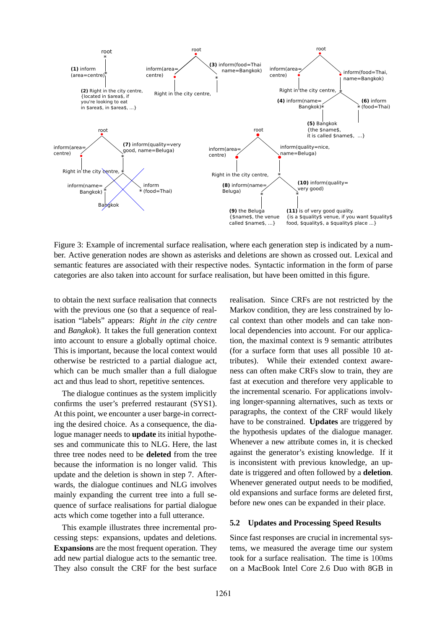

Figure 3: Example of incremental surface realisation, where each generation step is indicated by a number. Active generation nodes are shown as asterisks and deletions are shown as crossed out. Lexical and semantic features are associated with their respective nodes. Syntactic information in the form of parse categories are also taken into account for surface realisation, but have been omitted in this figure.

to obtain the next surface realisation that connects with the previous one (so that a sequence of realisation "labels" appears: *Right in the city centre* and *Bangkok*). It takes the full generation context into account to ensure a globally optimal choice. This is important, because the local context would otherwise be restricted to a partial dialogue act, which can be much smaller than a full dialogue act and thus lead to short, repetitive sentences.

The dialogue continues as the system implicitly confirms the user's preferred restaurant (SYS1). At this point, we encounter a user barge-in correcting the desired choice. As a consequence, the dialogue manager needs to **update** its initial hypotheses and communicate this to NLG. Here, the last three tree nodes need to be **deleted** from the tree because the information is no longer valid. This update and the deletion is shown in step 7. Afterwards, the dialogue continues and NLG involves mainly expanding the current tree into a full sequence of surface realisations for partial dialogue acts which come together into a full utterance.

This example illustrates three incremental processing steps: expansions, updates and deletions. **Expansions** are the most frequent operation. They add new partial dialogue acts to the semantic tree. They also consult the CRF for the best surface

realisation. Since CRFs are not restricted by the Markov condition, they are less constrained by local context than other models and can take nonlocal dependencies into account. For our application, the maximal context is 9 semantic attributes (for a surface form that uses all possible 10 attributes). While their extended context awareness can often make CRFs slow to train, they are fast at execution and therefore very applicable to the incremental scenario. For applications involving longer-spanning alternatives, such as texts or paragraphs, the context of the CRF would likely have to be constrained. **Updates** are triggered by the hypothesis updates of the dialogue manager. Whenever a new attribute comes in, it is checked against the generator's existing knowledge. If it is inconsistent with previous knowledge, an update is triggered and often followed by a **deletion**. Whenever generated output needs to be modified, old expansions and surface forms are deleted first, before new ones can be expanded in their place.

#### **5.2 Updates and Processing Speed Results**

Since fast responses are crucial in incremental systems, we measured the average time our system took for a surface realisation. The time is 100ms on a MacBook Intel Core 2.6 Duo with 8GB in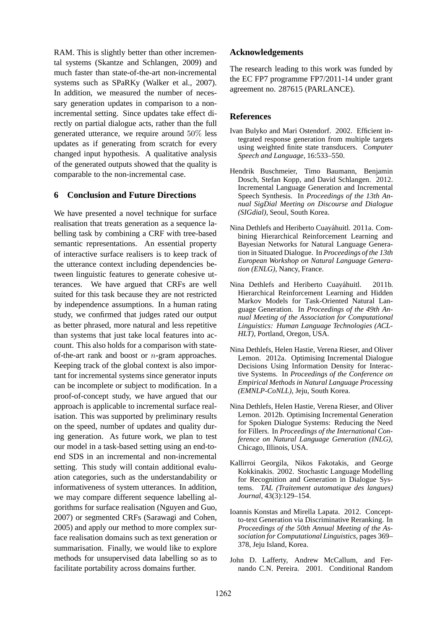RAM. This is slightly better than other incremental systems (Skantze and Schlangen, 2009) and much faster than state-of-the-art non-incremental systems such as SPaRKy (Walker et al., 2007). In addition, we measured the number of necessary generation updates in comparison to a nonincremental setting. Since updates take effect directly on partial dialogue acts, rather than the full generated utterance, we require around 50% less updates as if generating from scratch for every changed input hypothesis. A qualitative analysis of the generated outputs showed that the quality is comparable to the non-incremental case.

## **6 Conclusion and Future Directions**

We have presented a novel technique for surface realisation that treats generation as a sequence labelling task by combining a CRF with tree-based semantic representations. An essential property of interactive surface realisers is to keep track of the utterance context including dependencies between linguistic features to generate cohesive utterances. We have argued that CRFs are well suited for this task because they are not restricted by independence assumptions. In a human rating study, we confirmed that judges rated our output as better phrased, more natural and less repetitive than systems that just take local features into account. This also holds for a comparison with stateof-the-art rank and boost or n-gram approaches. Keeping track of the global context is also important for incremental systems since generator inputs can be incomplete or subject to modification. In a proof-of-concept study, we have argued that our approach is applicable to incremental surface realisation. This was supported by preliminary results on the speed, number of updates and quality during generation. As future work, we plan to test our model in a task-based setting using an end-toend SDS in an incremental and non-incremental setting. This study will contain additional evaluation categories, such as the understandability or informativeness of system utterances. In addition, we may compare different sequence labelling algorithms for surface realisation (Nguyen and Guo, 2007) or segmented CRFs (Sarawagi and Cohen, 2005) and apply our method to more complex surface realisation domains such as text generation or summarisation. Finally, we would like to explore methods for unsupervised data labelling so as to facilitate portability across domains further.

## **Acknowledgements**

The research leading to this work was funded by the EC FP7 programme FP7/2011-14 under grant agreement no. 287615 (PARLANCE).

## **References**

- Ivan Bulyko and Mari Ostendorf. 2002. Efficient integrated response generation from multiple targets using weighted finite state transducers. *Computer Speech and Language*, 16:533–550.
- Hendrik Buschmeier, Timo Baumann, Benjamin Dosch, Stefan Kopp, and David Schlangen. 2012. Incremental Language Generation and Incremental Speech Synthesis. In *Proceedings of the 13th Annual SigDial Meeting on Discourse and Dialogue (SIGdial)*, Seoul, South Korea.
- Nina Dethlefs and Heriberto Cuayáhuitl. 2011a. Combining Hierarchical Reinforcement Learning and Bayesian Networks for Natural Language Generation in Situated Dialogue. In *Proceedings of the 13th European Workshop on Natural Language Generation (ENLG)*, Nancy, France.
- Nina Dethlefs and Heriberto Cuayáhuitl. 2011b. Hierarchical Reinforcement Learning and Hidden Markov Models for Task-Oriented Natural Language Generation. In *Proceedings of the 49th Annual Meeting of the Association for Computational Linguistics: Human Language Technologies (ACL-HLT)*, Portland, Oregon, USA.
- Nina Dethlefs, Helen Hastie, Verena Rieser, and Oliver Lemon. 2012a. Optimising Incremental Dialogue Decisions Using Information Density for Interactive Systems. In *Proceedings of the Conference on Empirical Methods in Natural Language Processing (EMNLP-CoNLL)*, Jeju, South Korea.
- Nina Dethlefs, Helen Hastie, Verena Rieser, and Oliver Lemon. 2012b. Optimising Incremental Generation for Spoken Dialogue Systems: Reducing the Need for Fillers. In *Proceedings of the International Conference on Natural Language Generation (INLG)*, Chicago, Illinois, USA.
- Kallirroi Georgila, Nikos Fakotakis, and George Kokkinakis. 2002. Stochastic Language Modelling for Recognition and Generation in Dialogue Systems. *TAL (Traitement automatique des langues) Journal*, 43(3):129–154.
- Ioannis Konstas and Mirella Lapata. 2012. Conceptto-text Generation via Discriminative Reranking. In *Proceedings of the 50th Annual Meeting of the Association for Computational Linguistics*, pages 369– 378, Jeju Island, Korea.
- John D. Lafferty, Andrew McCallum, and Fernando C.N. Pereira. 2001. Conditional Random